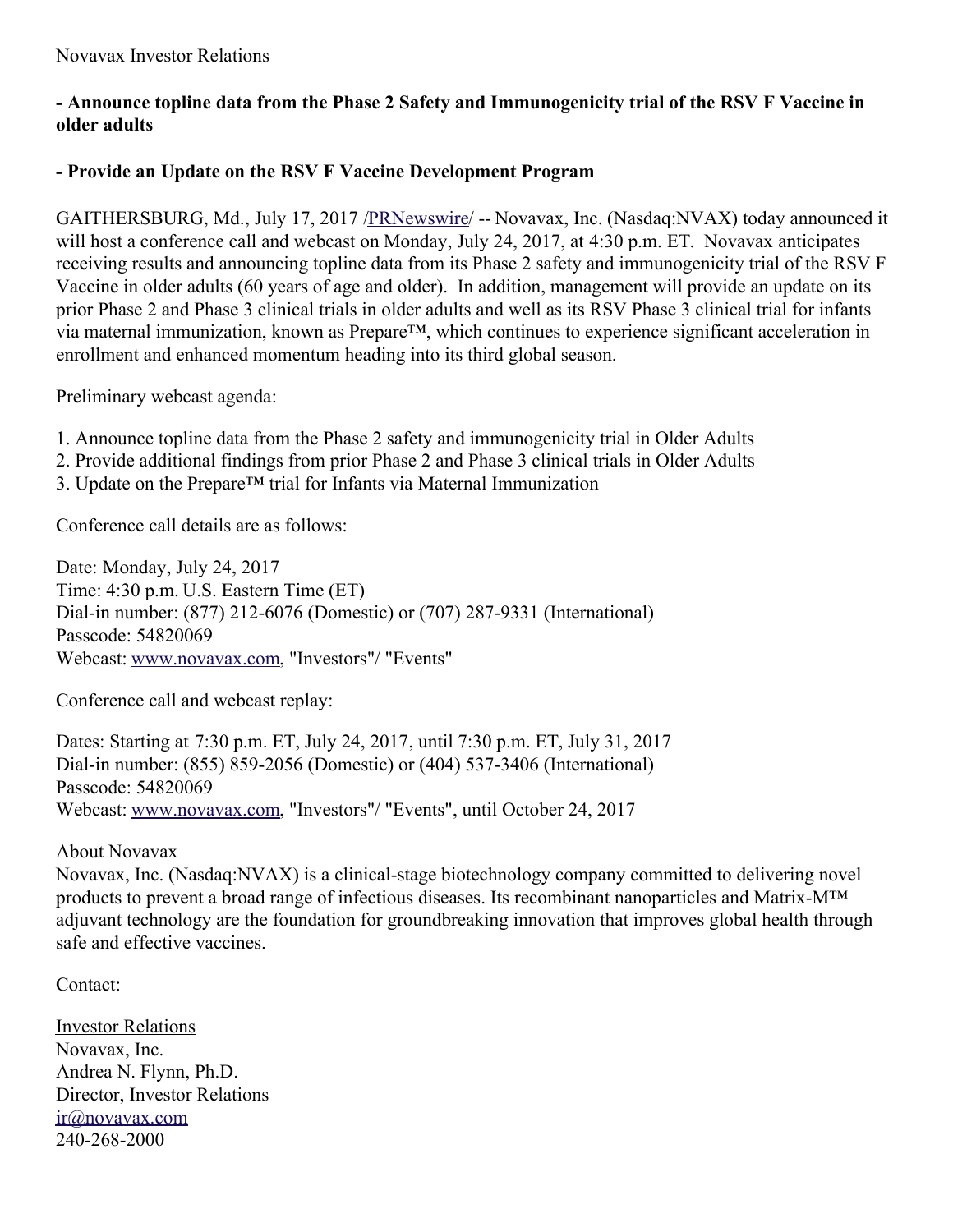## **- Announce topline data from the Phase 2 Safety and Immunogenicity trial of the RSV F Vaccine in older adults**

## **- Provide an Update on the RSV F Vaccine Development Program**

GAITHERSBURG, Md., July 17, 2017 [/PRNewswire](http://www.prnewswire.com/)/ -- Novavax, Inc. (Nasdaq:NVAX) today announced it will host a conference call and webcast on Monday, July 24, 2017, at 4:30 p.m. ET. Novavax anticipates receiving results and announcing topline data from its Phase 2 safety and immunogenicity trial of the RSV F Vaccine in older adults (60 years of age and older). In addition, management will provide an update on its prior Phase 2 and Phase 3 clinical trials in older adults and well as its RSV Phase 3 clinical trial for infants via maternal immunization, known as Prepare™, which continues to experience significant acceleration in enrollment and enhanced momentum heading into its third global season.

Preliminary webcast agenda:

- 1. Announce topline data from the Phase 2 safety and immunogenicity trial in Older Adults
- 2. Provide additional findings from prior Phase 2 and Phase 3 clinical trials in Older Adults
- 3. Update on the Prepare™ trial for Infants via Maternal Immunization

Conference call details are as follows:

Date: Monday, July 24, 2017 Time: 4:30 p.m. U.S. Eastern Time (ET) Dial-in number: (877) 212-6076 (Domestic) or (707) 287-9331 (International) Passcode: 54820069 Webcast: [www.novavax.com](http://www.novavax.com/), "Investors"/ "Events"

Conference call and webcast replay:

Dates: Starting at 7:30 p.m. ET, July 24, 2017, until 7:30 p.m. ET, July 31, 2017 Dial-in number: (855) 859-2056 (Domestic) or (404) 537-3406 (International) Passcode: 54820069 Webcast: [www.novavax.com](http://www.novavax.com/), "Investors"/ "Events", until October 24, 2017

About Novavax

Novavax, Inc. (Nasdaq:NVAX) is a clinical-stage biotechnology company committed to delivering novel products to prevent a broad range of infectious diseases. Its recombinant nanoparticles and Matrix-M™ adjuvant technology are the foundation for groundbreaking innovation that improves global health through safe and effective vaccines.

Contact:

**Investor Relations** Novavax, Inc. Andrea N. Flynn, Ph.D. Director, Investor Relations [ir@novavax.com](mailto:ir@novavax.com) 240-268-2000